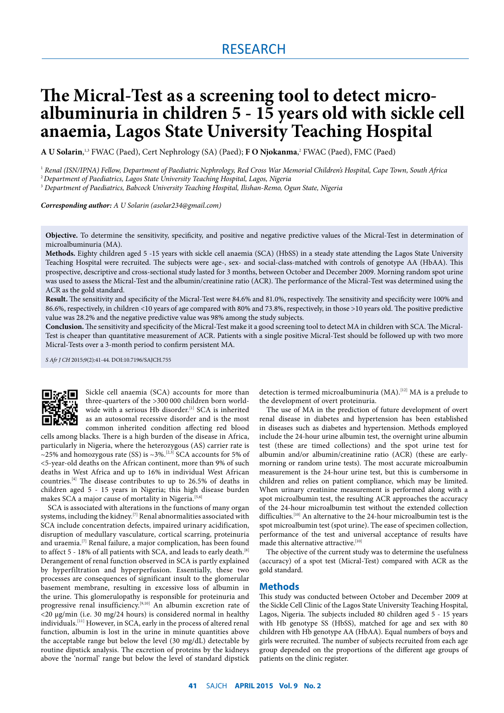# RESEARCH

# **The Micral-Test as a screening tool to detect micro- albuminuria in children 5 - 15 years old with sickle cell anaemia, Lagos State University Teaching Hospital**

**A U Solarin**, 1,3 FWAC (Paed), Cert Nephrology (SA) (Paed); **F O Njokanma**, 2 FWAC (Paed), FMC (Paed)

1  *Renal (ISN/IPNA) Fellow, Department of Paediatric Nephrology, Red Cross War Memorial Children's Hospital, Cape Town, South Africa*

2 *Department of Paediatrics, Lagos State University Teaching Hospital, Lagos, Nigeria*

3  *Department of Paediatrics, Babcock University Teaching Hospital, Ilishan-Remo, Ogun State, Nigeria*

*Corresponding author: A U Solarin (asolar234@gmail.com)*

**Objective.** To determine the sensitivity, specificity, and positive and negative predictive values of the Micral-Test in determination of microalbuminuria (MA).

**Methods.** Eighty children aged 5 -15 years with sickle cell anaemia (SCA) (HbSS) in a steady state attending the Lagos State University Teaching Hospital were recruited. The subjects were age-, sex- and social-class-matched with controls of genotype AA (HbAA). This prospective, descriptive and cross-sectional study lasted for 3 months, between October and December 2009. Morning random spot urine was used to assess the Micral-Test and the albumin/creatinine ratio (ACR). The performance of the Micral-Test was determined using the ACR as the gold standard.

**Result.** The sensitivity and specificity of the Micral-Test were 84.6% and 81.0%, respectively. The sensitivity and specificity were 100% and 86.6%, respectively, in children <10 years of age compared with 80% and 73.8%, respectively, in those >10 years old. The positive predictive value was 28.2% and the negative predictive value was 98% among the study subjects.

**Conclusion.** The sensitivity and specificity of the Micral-Test make it a good screening tool to detect MA in children with SCA. The Micral-Test is cheaper than quantitative measurement of ACR. Patients with a single positive Micral-Test should be followed up with two more Micral-Tests over a 3-month period to confirm persistent MA.

*S Afr J CH* 2015;9(2):41-44. DOI:10.7196/SAJCH.755



Sickle cell anaemia (SCA) accounts for more than three-quarters of the >300 000 children born worldwide with a serious Hb disorder.<sup>[1]</sup> SCA is inherited as an autosomal recessive disorder and is the most common inherited condition affecting red blood

cells among blacks. There is a high burden of the disease in Africa, particularly in Nigeria, where the heterozygous (AS) carrier rate is ~25% and homozygous rate (SS) is ~3%.<sup>[2,3]</sup> SCA accounts for 5% of <5-year-old deaths on the African continent, more than 9% of such deaths in West Africa and up to 16% in individual West African countries.[4] The disease contributes to up to 26.5% of deaths in children aged 5 - 15 years in Nigeria; this high disease burden makes SCA a major cause of mortality in Nigeria.<sup>[5,6]</sup>

SCA is associated with alterations in the functions of many organ systems, including the kidney.[7] Renal abnormalities associated with SCA include concentration defects, impaired urinary acidification, disruption of medullary vasculature, cortical scarring, proteinuria and uraemia.[7] Renal failure, a major complication, has been found to affect 5 - 18% of all patients with SCA, and leads to early death.<sup>[8]</sup> Derangement of renal function observed in SCA is partly explained by hyperfiltration and hyperperfusion. Essentially, these two processes are consequences of significant insult to the glomerular basement membrane, resulting in excessive loss of albumin in the urine. This glomerulopathy is responsible for proteinuria and progressive renal insufficiency.<sup>[9,10]</sup> An albumin excretion rate of <20 μg/min (i.e. 30 mg/24 hours) is considered normal in healthy individuals.[11] However, in SCA, early in the process of altered renal function, albumin is lost in the urine in minute quantities above the acceptable range but below the level (30 mg/dL) detectable by routine dipstick analysis. The excretion of proteins by the kidneys above the 'normal' range but below the level of standard dipstick detection is termed microalbuminuria (MA).<sup>[12]</sup> MA is a prelude to the development of overt proteinuria.

The use of MA in the prediction of future development of overt renal disease in diabetes and hypertension has been established in diseases such as diabetes and hypertension. Methods employed include the 24-hour urine albumin test, the overnight urine albumin test (these are timed collections) and the spot urine test for albumin and/or albumin/creatinine ratio (ACR) (these are earlymorning or random urine tests). The most accurate microalbumin measurement is the 24-hour urine test, but this is cumbersome in children and relies on patient compliance, which may be limited. When urinary creatinine measurement is performed along with a spot microalbumin test, the resulting ACR approaches the accuracy of the 24-hour microalbumin test without the extended collection difficulties.[10] An alternative to the 24-hour microalbumin test is the spot microalbumin test (spot urine). The ease of specimen collection, performance of the test and universal acceptance of results have made this alternative attractive.<sup>[10]</sup>

The objective of the current study was to determine the usefulness (accuracy) of a spot test (Micral-Test) compared with ACR as the gold standard.

#### **Methods**

This study was conducted between October and December 2009 at the Sickle Cell Clinic of the Lagos State University Teaching Hospital, Lagos, Nigeria. The subjects included 80 children aged 5 - 15 years with Hb genotype SS (HbSS), matched for age and sex with 80 children with Hb genotype AA (HbAA). Equal numbers of boys and girls were recruited. The number of subjects recruited from each age group depended on the proportions of the different age groups of patients on the clinic register.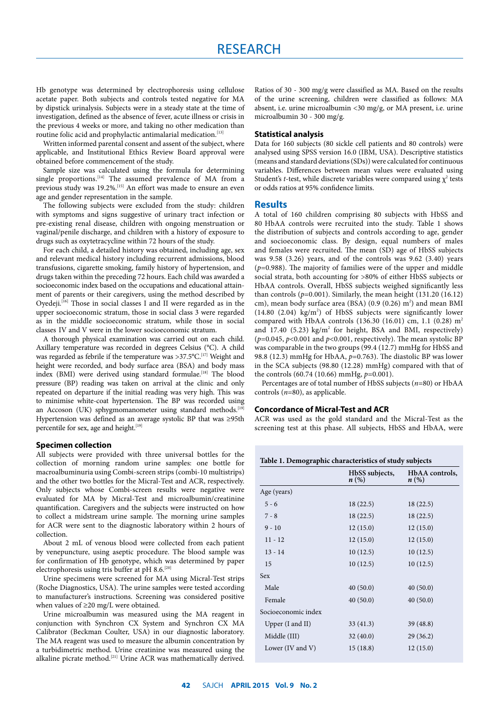Hb genotype was determined by electrophoresis using cellulose acetate paper. Both subjects and controls tested negative for MA by dipstick urinalysis. Subjects were in a steady state at the time of investigation, defined as the absence of fever, acute illness or crisis in the previous 4 weeks or more, and taking no other medication than routine folic acid and prophylactic antimalarial medication.<sup>[13]</sup>

Written informed parental consent and assent of the subject, where applicable, and Institutional Ethics Review Board approval were obtained before commencement of the study.

Sample size was calculated using the formula for determining single proportions.<sup>[14]</sup> The assumed prevalence of MA from a previous study was 19.2%.<sup>[15]</sup> An effort was made to ensure an even age and gender representation in the sample.

The following subjects were excluded from the study: children with symptoms and signs suggestive of urinary tract infection or pre-existing renal disease, children with ongoing menstruation or vaginal/penile discharge, and children with a history of exposure to drugs such as oxytetracycline within 72 hours of the study.

For each child, a detailed history was obtained, including age, sex and relevant medical history including recurrent admissions, blood transfusions, cigarette smoking, family history of hypertension, and drugs taken within the preceding 72 hours. Each child was awarded a socioeconomic index based on the occupations and educational attainment of parents or their caregivers, using the method described by Oyedeji.<sup>[16]</sup> Those in social classes I and II were regarded as in the upper socioeconomic stratum, those in social class 3 were regarded as in the middle socioeconomic stratum, while those in social classes IV and V were in the lower socioeconomic stratum.

A thorough physical examination was carried out on each child. Axillary temperature was recorded in degrees Celsius (°C). A child was regarded as febrile if the temperature was  ${>}37.5^{\circ} \text{C.}^{[17]}$  Weight and height were recorded, and body surface area (BSA) and body mass index (BMI) were derived using standard formulae.<sup>[18]</sup> The blood pressure (BP) reading was taken on arrival at the clinic and only repeated on departure if the initial reading was very high. This was to minimise white-coat hypertension. The BP was recorded using an Accoson (UK) sphygmomanometer using standard methods.<sup>[19]</sup> Hypertension was defined as an average systolic BP that was ≥95th percentile for sex, age and height.<sup>[19]</sup>

#### **Specimen collection**

All subjects were provided with three universal bottles for the collection of morning random urine samples: one bottle for macroalbuminuria using Combi-screen strips (combi-10 multistrips) and the other two bottles for the Micral-Test and ACR, respectively. Only subjects whose Combi-screen results were negative were evaluated for MA by Micral-Test and microalbumin/creatinine quantification. Caregivers and the subjects were instructed on how to collect a midstream urine sample. The morning urine samples for ACR were sent to the diagnostic laboratory within 2 hours of collection.

About 2 mL of venous blood were collected from each patient by venepuncture, using aseptic procedure. The blood sample was for confirmation of Hb genotype, which was determined by paper electrophoresis using tris buffer at pH 8.6.<sup>[20]</sup>

Urine specimens were screened for MA using Micral-Test strips (Roche Diagnostics, USA). The urine samples were tested according to manufacturer's instructions. Screening was considered positive when values of ≥20 mg/L were obtained.

Urine microalbumin was measured using the MA reagent in conjunction with Synchron CX System and Synchron CX MA Calibrator (Beckman Coulter, USA) in our diagnostic laboratory. The MA reagent was used to measure the albumin concentration by a turbidimetric method. Urine creatinine was measured using the alkaline picrate method.<sup>[21]</sup> Urine ACR was mathematically derived.

Ratios of 30 - 300 mg/g were classified as MA. Based on the results of the urine screening, children were classified as follows: MA absent, i.e. urine microalbumin <30 mg/g, or MA present, i.e. urine microalbumin 30 - 300 mg/g.

#### **Statistical analysis**

Data for 160 subjects (80 sickle cell patients and 80 controls) were analysed using SPSS version 16.0 (IBM, USA). Descriptive statistics (means and standard deviations (SDs)) were calculated for continuous variables. Differences between mean values were evaluated using Student's *t*-test, while discrete variables were compared using  $\chi^2$  tests or odds ratios at 95% confidence limits.

#### **Results**

A total of 160 children comprising 80 subjects with HbSS and 80 HbAA controls were recruited into the study. Table 1 shows the distribution of subjects and controls according to age, gender and socioeconomic class. By design, equal numbers of males and females were recruited. The mean (SD) age of HbSS subjects was 9.58 (3.26) years, and of the controls was 9.62 (3.40) years (*p*=0.988). The majority of families were of the upper and middle social strata, both accounting for >80% of either HbSS subjects or HbAA controls. Overall, HbSS subjects weighed significantly less than controls ( $p=0.001$ ). Similarly, the mean height (131.20 (16.12) cm), mean body surface area (BSA)  $(0.9 (0.26) m<sup>2</sup>)$  and mean BMI  $(14.80 (2.04) kg/m<sup>2</sup>)$  of HbSS subjects were significantly lower compared with HbAA controls (136.30 (16.01) cm, 1.1 (0.28) m2 and  $17.40$  (5.23) kg/m<sup>2</sup> for height, BSA and BMI, respectively) (*p*=0.045, *p*<0.001 and *p*<0.001, respectively). The mean systolic BP was comparable in the two groups (99.4 (12.7) mmHg for HbSS and 98.8 (12.3) mmHg for HbAA, *p*=0.763). The diastolic BP was lower in the SCA subjects (98.80 (12.28) mmHg) compared with that of the controls (60.74 (10.66) mmHg, *p*=0.001).

Percentages are of total number of HbSS subjects (*n*=80) or HbAA controls (*n*=80), as applicable.

#### **Concordance of Micral-Test and ACR**

ACR was used as the gold standard and the Micral-Test as the screening test at this phase. All subjects, HbSS and HbAA, were

| Table 1. Demographic characteristics of study subjects |  |  |  |  |  |  |  |
|--------------------------------------------------------|--|--|--|--|--|--|--|
|--------------------------------------------------------|--|--|--|--|--|--|--|

| HbSS subjects,<br>$n\left(\%\right)$ | HbAA controls,<br>$n\left(\%\right)$ |
|--------------------------------------|--------------------------------------|
|                                      |                                      |
| 18(22.5)                             | 18 (22.5)                            |
| 18(22.5)                             | 18(22.5)                             |
| 12(15.0)                             | 12(15.0)                             |
| 12(15.0)                             | 12(15.0)                             |
| 10(12.5)                             | 10(12.5)                             |
| 10(12.5)                             | 10(12.5)                             |
|                                      |                                      |
| 40(50.0)                             | 40(50.0)                             |
| 40(50.0)                             | 40(50.0)                             |
|                                      |                                      |
| 33(41.3)                             | 39 (48.8)                            |
| 32(40.0)                             | 29(36.2)                             |
| 15(18.8)                             | 12(15.0)                             |
|                                      |                                      |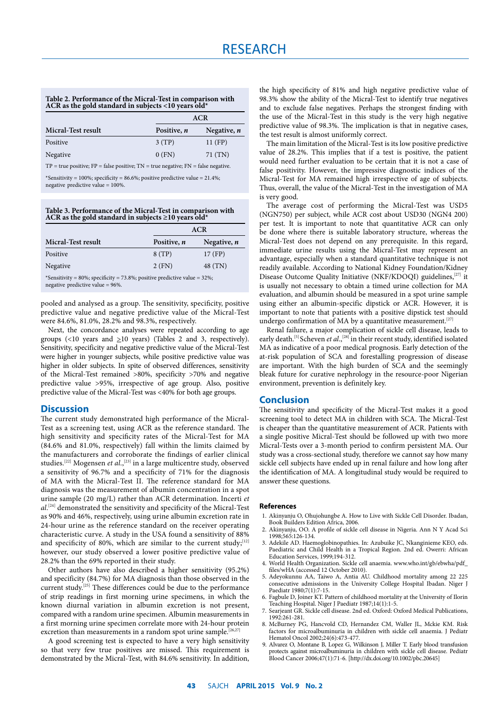#### **Table 2. Performance of the Micral-Test in comparison with ACR as the gold standard in subjects <10 years old\***

|                    | <b>ACR</b>         |               |
|--------------------|--------------------|---------------|
| Micral-Test result | Positive, <i>n</i> | Negative, $n$ |
| Positive           | 3(TP)              | $11$ (FP)     |
| Negative           | $0$ (FN)           | 71(TN)        |

TP = true positive; FP = false positive; TN = true negative; FN = false negative.

\*Sensitivity = 100%; specificity = 86.6%; positive predictive value =  $21.4\%$ ; negative predictive value = 100%.

**Table 3. Performance of the Micral-Test in comparison with ACR as the gold standard in subjects ≥10 years old\***

|                    | <b>ACR</b>         |               |
|--------------------|--------------------|---------------|
| Micral-Test result | Positive, <i>n</i> | Negative, $n$ |
| Positive           | 8(TP)              | 17 (FP)       |
| Negative           | 2(FN)              | 48 (TN)       |

\*Sensitivity = 80%; specificity = 73.8%; positive predictive value = 32%; negative predictive value = 96%.

pooled and analysed as a group. The sensitivity, specificity, positive predictive value and negative predictive value of the Micral-Test were 84.6%, 81.0%, 28.2% and 98.3%, respectively.

Next, the concordance analyses were repeated according to age groups (<10 years and  $\geq$ 10 years) (Tables 2 and 3, respectively). Sensitivity, specificity and negative predictive value of the Micral-Test were higher in younger subjects, while positive predictive value was higher in older subjects. In spite of observed differences, sensitivity of the Micral-Test remained >80%, specificity >70% and negative predictive value >95%, irrespective of age group. Also, positive predictive value of the Micral-Test was <40% for both age groups.

## **Discussion**

The current study demonstrated high performance of the Micral-Test as a screening test, using ACR as the reference standard. The high sensitivity and specificity rates of the Micral-Test for MA (84.6% and 81.0%, respectively) fall within the limits claimed by the manufacturers and corroborate the findings of earlier clinical studies.<sup>[22]</sup> Mogensen *et al.*,<sup>[23]</sup> in a large multicentre study, observed a sensitivity of 96.7% and a specificity of 71% for the diagnosis of MA with the Micral-Test II. The reference standard for MA diagnosis was the measurement of albumin concentration in a spot urine sample (20 mg/L) rather than ACR determination. Incerti *et al*. [24] demonstrated the sensitivity and specificity of the Micral-Test as 90% and 46%, respectively, using urine albumin excretion rate in 24-hour urine as the reference standard on the receiver operating characteristic curve. A study in the USA found a sensitivity of 88% and specificity of 80%, which are similar to the current study;[12] however, our study observed a lower positive predictive value of 28.2% than the 69% reported in their study.

Other authors have also described a higher sensitivity (95.2%) and specificity (84.7%) for MA diagnosis than those observed in the current study.[25] These differences could be due to the performance of strip readings in first morning urine specimens, in which the known diurnal variation in albumin excretion is not present, compared with a random urine specimen. Albumin measurements in a first morning urine specimen correlate more with 24-hour protein excretion than measurements in a random spot urine sample.<sup>[26,27]</sup>

A good screening test is expected to have a very high sensitivity so that very few true positives are missed. This requirement is demonstrated by the Micral-Test, with 84.6% sensitivity. In addition,

the high specificity of 81% and high negative predictive value of 98.3% show the ability of the Micral-Test to identify true negatives and to exclude false negatives. Perhaps the strongest finding with the use of the Micral-Test in this study is the very high negative predictive value of 98.3%. The implication is that in negative cases, the test result is almost uniformly correct.

The main limitation of the Micral-Test is its low positive predictive value of 28.2%. This implies that if a test is positive, the patient would need further evaluation to be certain that it is not a case of false positivity. However, the impressive diagnostic indices of the Micral-Test for MA remained high irrespective of age of subjects. Thus, overall, the value of the Micral-Test in the investigation of MA is very good.

The average cost of performing the Micral-Test was USD5 (NGN750) per subject, while ACR cost about USD30 (NGN4 200) per test. It is important to note that quantitative ACR can only be done where there is suitable laboratory structure, whereas the Micral-Test does not depend on any prerequisite. In this regard, immediate urine results using the Micral-Test may represent an advantage, especially when a standard quantitative technique is not readily available. According to National Kidney Foundation/Kidney Disease Outcome Quality Initiative (NKF/KDOQI) guidelines,<sup>[27]</sup> it is usually not necessary to obtain a timed urine collection for MA evaluation, and albumin should be measured in a spot urine sample using either an albumin-specific dipstick or ACR. However, it is important to note that patients with a positive dipstick test should undergo confirmation of MA by a quantitative measurement.<sup>[27]</sup>

Renal failure, a major complication of sickle cell disease, leads to early death.<sup>[5]</sup> Scheven *et al.*,<sup>[28]</sup> in their recent study, identified isolated MA as indicative of a poor medical prognosis. Early detection of the at-risk population of SCA and forestalling progression of disease are important. With the high burden of SCA and the seemingly bleak future for curative nephrology in the resource-poor Nigerian environment, prevention is definitely key.

## **Conclusion**

The sensitivity and specificity of the Micral-Test makes it a good screening tool to detect MA in children with SCA. The Micral-Test is cheaper than the quantitative measurement of ACR. Patients with a single positive Micral-Test should be followed up with two more Micral-Tests over a 3-month period to confirm persistent MA. Our study was a cross-sectional study, therefore we cannot say how many sickle cell subjects have ended up in renal failure and how long after the identification of MA. A longitudinal study would be required to answer these questions.

#### **References**

- 1. Akinyanju O, Ohujohungbe A. How to Live with Sickle Cell Disorder. Ibadan, Book Builders Edition Africa, 2006.
- 2. Akinyanju, OO. A profile of sickle cell disease in Nigeria. Ann N Y Acad Sci 1998;565:126-134.
- 3. Adekile AD. Haemoglobinopathies. In: Azubuike JC, Nkanginieme KEO, eds. Paediatric and Child Health in a Tropical Region. 2nd ed. Owerri: African Education Services, 1999;194-312.
- 4. World Health Organization. Sickle cell anaemia. www.who.int/gb/ebwha/pdf\_ files/wHA (accessed 12 October 2010).
- 5. Adeyokunnu AA, Taiwo A, Antia AU. Childhood mortality among 22 225 consecutive admissions in the University College Hospital Ibadan. Niger J Paediatr 1980;7(1):7-15.
- 6. Fagbule D, Joiner KT. Pattern of childhood mortality at the University of Ilorin Teaching Hospital. Niger J Paediatr 1987;14(1):1-5.
- 7. Searjeant GR. Sickle cell disease. 2nd ed. Oxford: Oxford Medical Publications, 1992:261-281.
- 8. McBurney PG, Hancvold CD, Hernandez CM, Waller JL, Mckie KM. Risk factors for microalbuminuria in children with sickle cell anaemia. J Pediatr Hematol Oncol 2002;24(6):473-477.
- 9. Alvarez O, Montane B, Lopez G, Wilkinson J, Miller T. Early blood transfusion protects against microalbuminuria in children with sickle cell disease. Pediatr Blood Cancer 2006;47(1):71-6. [http://dx.doi.org/10.1002/pbc.20645]